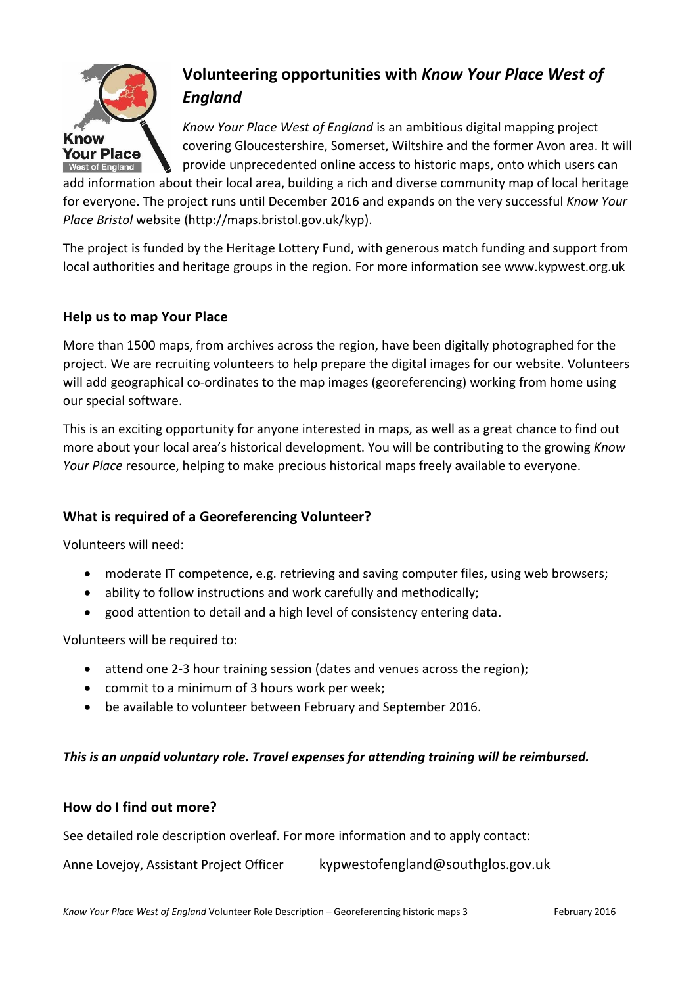

# **Volunteering opportunities with** *Know Your Place West of England*

*Know Your Place West of England* is an ambitious digital mapping project covering Gloucestershire, Somerset, Wiltshire and the former Avon area. It will provide unprecedented online access to historic maps, onto which users can

add information about their local area, building a rich and diverse community map of local heritage for everyone. The project runs until December 2016 and expands on the very successful *Know Your Place Bristol* website (http://maps.bristol.gov.uk/kyp).

The project is funded by the Heritage Lottery Fund, with generous match funding and support from local authorities and heritage groups in the region. For more information see www.kypwest.org.uk

## **Help us to map Your Place**

More than 1500 maps, from archives across the region, have been digitally photographed for the project. We are recruiting volunteers to help prepare the digital images for our website. Volunteers will add geographical co-ordinates to the map images (georeferencing) working from home using our special software.

This is an exciting opportunity for anyone interested in maps, as well as a great chance to find out more about your local area's historical development. You will be contributing to the growing *Know Your Place* resource, helping to make precious historical maps freely available to everyone.

# **What is required of a Georeferencing Volunteer?**

Volunteers will need:

- moderate IT competence, e.g. retrieving and saving computer files, using web browsers;
- ability to follow instructions and work carefully and methodically;
- good attention to detail and a high level of consistency entering data.

Volunteers will be required to:

- attend one 2-3 hour training session (dates and venues across the region);
- commit to a minimum of 3 hours work per week;
- be available to volunteer between February and September 2016.

#### *This is an unpaid voluntary role. Travel expenses for attending training will be reimbursed.*

#### **How do I find out more?**

See detailed role description overleaf. For more information and to apply contact:

Anne Lovejoy, Assistant Project Officer kypwestofengland@southglos.gov.uk